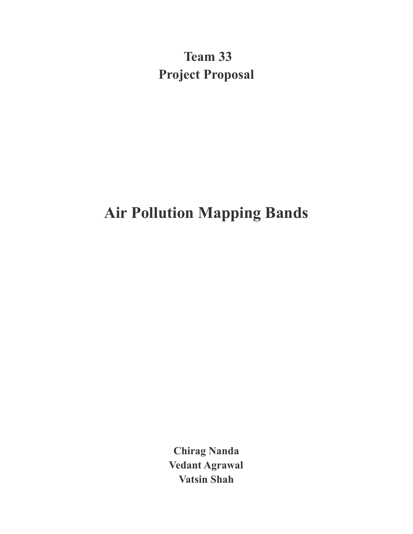**Team 33 Project Proposal**

# **Air Pollution Mapping Bands**

**Chirag Nanda Vedant Agrawal Vatsin Shah**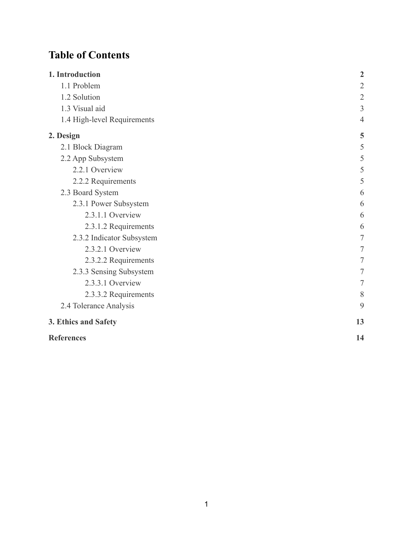## **Table of Contents**

| 1. Introduction             | $\overline{2}$ |
|-----------------------------|----------------|
| 1.1 Problem                 | $\overline{2}$ |
| 1.2 Solution                | $\sqrt{2}$     |
| 1.3 Visual aid              | 3              |
| 1.4 High-level Requirements | $\overline{4}$ |
| 2. Design                   | 5              |
| 2.1 Block Diagram           | 5              |
| 2.2 App Subsystem           | 5              |
| 2.2.1 Overview              | 5              |
| 2.2.2 Requirements          | 5              |
| 2.3 Board System            | 6              |
| 2.3.1 Power Subsystem       | 6              |
| 2.3.1.1 Overview            | 6              |
| 2.3.1.2 Requirements        | 6              |
| 2.3.2 Indicator Subsystem   | 7              |
| 2.3.2.1 Overview            | 7              |
| 2.3.2.2 Requirements        | 7              |
| 2.3.3 Sensing Subsystem     | 7              |
| 2.3.3.1 Overview            | 7              |
| 2.3.3.2 Requirements        | 8              |
| 2.4 Tolerance Analysis      | 9              |
| 3. Ethics and Safety        | 13             |
| <b>References</b>           | 14             |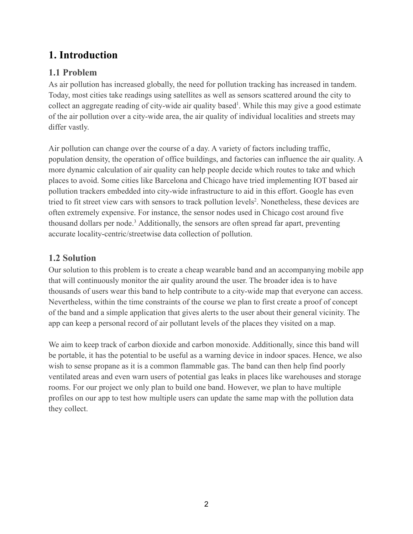## <span id="page-2-0"></span>**1. Introduction**

## <span id="page-2-1"></span>**1.1 Problem**

As air pollution has increased globally, the need for pollution tracking has increased in tandem. Today, most cities take readings using satellites as well as sensors scattered around the city to collect an aggregate reading of city-wide air quality based<sup>1</sup>. While this may give a good estimate of the air pollution over a city-wide area, the air quality of individual localities and streets may differ vastly.

Air pollution can change over the course of a day. A variety of factors including traffic, population density, the operation of office buildings, and factories can influence the air quality. A more dynamic calculation of air quality can help people decide which routes to take and which places to avoid. Some cities like Barcelona and Chicago have tried implementing IOT based air pollution trackers embedded into city-wide infrastructure to aid in this effort. Google has even tried to fit street view cars with sensors to track pollution levels<sup>2</sup>. Nonetheless, these devices are often extremely expensive. For instance, the sensor nodes used in Chicago cost around five thousand dollars per node.<sup>3</sup> Additionally, the sensors are often spread far apart, preventing accurate locality-centric/streetwise data collection of pollution.

### <span id="page-2-2"></span>**1.2 Solution**

Our solution to this problem is to create a cheap wearable band and an accompanying mobile app that will continuously monitor the air quality around the user. The broader idea is to have thousands of users wear this band to help contribute to a city-wide map that everyone can access. Nevertheless, within the time constraints of the course we plan to first create a proof of concept of the band and a simple application that gives alerts to the user about their general vicinity. The app can keep a personal record of air pollutant levels of the places they visited on a map.

We aim to keep track of carbon dioxide and carbon monoxide. Additionally, since this band will be portable, it has the potential to be useful as a warning device in indoor spaces. Hence, we also wish to sense propane as it is a common flammable gas. The band can then help find poorly ventilated areas and even warn users of potential gas leaks in places like warehouses and storage rooms. For our project we only plan to build one band. However, we plan to have multiple profiles on our app to test how multiple users can update the same map with the pollution data they collect.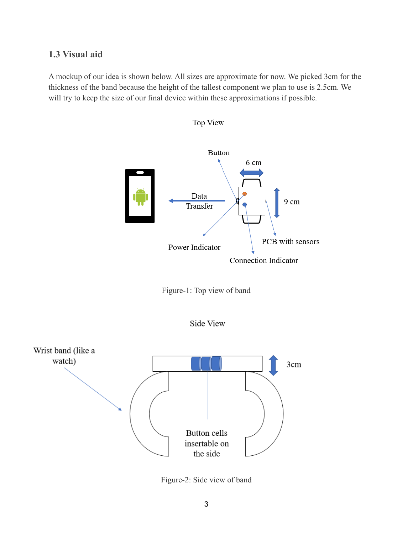#### <span id="page-3-0"></span>**1.3 Visual aid**

A mockup of our idea is shown below. All sizes are approximate for now. We picked 3cm for the thickness of the band because the height of the tallest component we plan to use is 2.5cm. We will try to keep the size of our final device within these approximations if possible.



Top View







Figure-2: Side view of band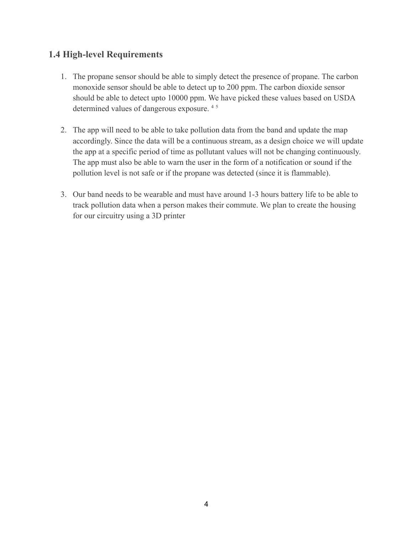#### <span id="page-4-0"></span>**1.4 High-level Requirements**

- 1. The propane sensor should be able to simply detect the presence of propane. The carbon monoxide sensor should be able to detect up to 200 ppm. The carbon dioxide sensor should be able to detect upto 10000 ppm. We have picked these values based on USDA determined values of dangerous exposure. <sup>4</sup> <sup>5</sup>
- 2. The app will need to be able to take pollution data from the band and update the map accordingly. Since the data will be a continuous stream, as a design choice we will update the app at a specific period of time as pollutant values will not be changing continuously. The app must also be able to warn the user in the form of a notification or sound if the pollution level is not safe or if the propane was detected (since it is flammable).
- 3. Our band needs to be wearable and must have around 1-3 hours battery life to be able to track pollution data when a person makes their commute. We plan to create the housing for our circuitry using a 3D printer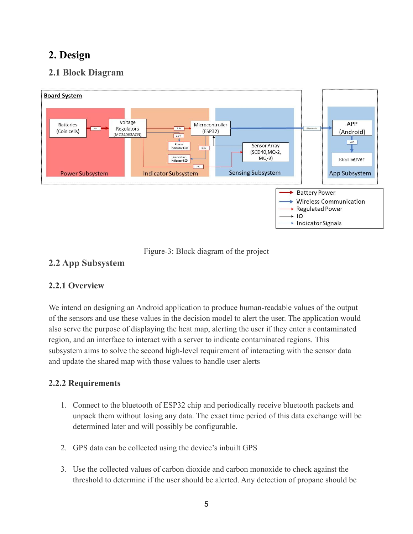## <span id="page-5-0"></span>**2. Design**

## <span id="page-5-1"></span>**2.1 Block Diagram**





### <span id="page-5-2"></span>**2.2 App Subsystem**

#### <span id="page-5-3"></span>**2.2.1 Overview**

We intend on designing an Android application to produce human-readable values of the output of the sensors and use these values in the decision model to alert the user. The application would also serve the purpose of displaying the heat map, alerting the user if they enter a contaminated region, and an interface to interact with a server to indicate contaminated regions. This subsystem aims to solve the second high-level requirement of interacting with the sensor data and update the shared map with those values to handle user alerts

#### <span id="page-5-4"></span>**2.2.2 Requirements**

- 1. Connect to the bluetooth of ESP32 chip and periodically receive bluetooth packets and unpack them without losing any data. The exact time period of this data exchange will be determined later and will possibly be configurable.
- 2. GPS data can be collected using the device's inbuilt GPS
- 3. Use the collected values of carbon dioxide and carbon monoxide to check against the threshold to determine if the user should be alerted. Any detection of propane should be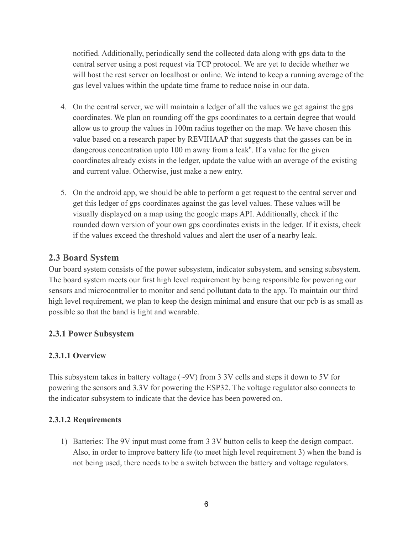notified. Additionally, periodically send the collected data along with gps data to the central server using a post request via TCP protocol. We are yet to decide whether we will host the rest server on localhost or online. We intend to keep a running average of the gas level values within the update time frame to reduce noise in our data.

- 4. On the central server, we will maintain a ledger of all the values we get against the gps coordinates. We plan on rounding off the gps coordinates to a certain degree that would allow us to group the values in 100m radius together on the map. We have chosen this value based on a research paper by REVIHAAP that suggests that the gasses can be in dangerous concentration upto 100 m away from a leak<sup> $6$ </sup>. If a value for the given coordinates already exists in the ledger, update the value with an average of the existing and current value. Otherwise, just make a new entry.
- 5. On the android app, we should be able to perform a get request to the central server and get this ledger of gps coordinates against the gas level values. These values will be visually displayed on a map using the google maps API. Additionally, check if the rounded down version of your own gps coordinates exists in the ledger. If it exists, check if the values exceed the threshold values and alert the user of a nearby leak.

## <span id="page-6-0"></span>**2.3 Board System**

Our board system consists of the power subsystem, indicator subsystem, and sensing subsystem. The board system meets our first high level requirement by being responsible for powering our sensors and microcontroller to monitor and send pollutant data to the app. To maintain our third high level requirement, we plan to keep the design minimal and ensure that our pcb is as small as possible so that the band is light and wearable.

### <span id="page-6-1"></span>**2.3.1 Power Subsystem**

#### <span id="page-6-2"></span>**2.3.1.1 Overview**

This subsystem takes in battery voltage (~9V) from 3 3V cells and steps it down to 5V for powering the sensors and 3.3V for powering the ESP32. The voltage regulator also connects to the indicator subsystem to indicate that the device has been powered on.

#### <span id="page-6-3"></span>**2.3.1.2 Requirements**

1) Batteries: The 9V input must come from 3 3V button cells to keep the design compact. Also, in order to improve battery life (to meet high level requirement 3) when the band is not being used, there needs to be a switch between the battery and voltage regulators.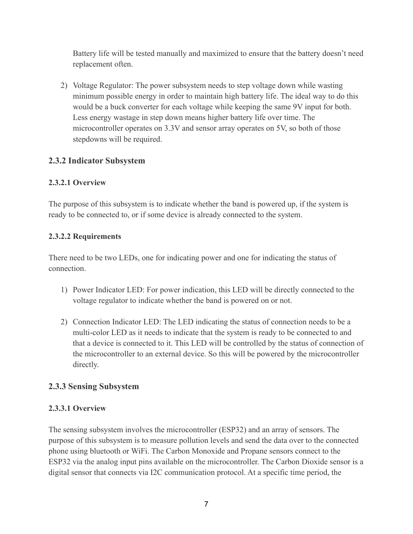Battery life will be tested manually and maximized to ensure that the battery doesn't need replacement often.

2) Voltage Regulator: The power subsystem needs to step voltage down while wasting minimum possible energy in order to maintain high battery life. The ideal way to do this would be a buck converter for each voltage while keeping the same 9V input for both. Less energy wastage in step down means higher battery life over time. The microcontroller operates on 3.3V and sensor array operates on 5V, so both of those stepdowns will be required.

#### <span id="page-7-0"></span>**2.3.2 Indicator Subsystem**

#### <span id="page-7-1"></span>**2.3.2.1 Overview**

The purpose of this subsystem is to indicate whether the band is powered up, if the system is ready to be connected to, or if some device is already connected to the system.

#### <span id="page-7-2"></span>**2.3.2.2 Requirements**

There need to be two LEDs, one for indicating power and one for indicating the status of connection.

- 1) Power Indicator LED: For power indication, this LED will be directly connected to the voltage regulator to indicate whether the band is powered on or not.
- 2) Connection Indicator LED: The LED indicating the status of connection needs to be a multi-color LED as it needs to indicate that the system is ready to be connected to and that a device is connected to it. This LED will be controlled by the status of connection of the microcontroller to an external device. So this will be powered by the microcontroller directly.

#### <span id="page-7-3"></span>**2.3.3 Sensing Subsystem**

#### <span id="page-7-4"></span>**2.3.3.1 Overview**

The sensing subsystem involves the microcontroller (ESP32) and an array of sensors. The purpose of this subsystem is to measure pollution levels and send the data over to the connected phone using bluetooth or WiFi. The Carbon Monoxide and Propane sensors connect to the ESP32 via the analog input pins available on the microcontroller. The Carbon Dioxide sensor is a digital sensor that connects via I2C communication protocol. At a specific time period, the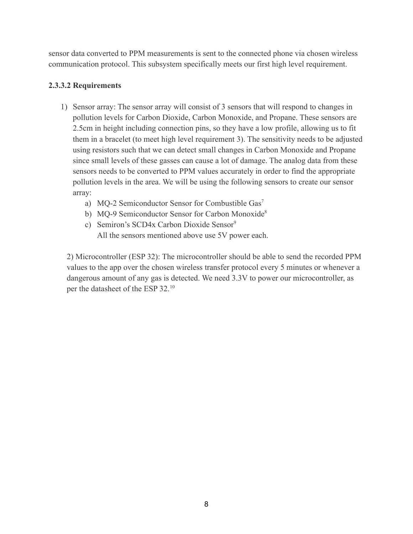sensor data converted to PPM measurements is sent to the connected phone via chosen wireless communication protocol. This subsystem specifically meets our first high level requirement.

#### <span id="page-8-0"></span>**2.3.3.2 Requirements**

- 1) Sensor array: The sensor array will consist of 3 sensors that will respond to changes in pollution levels for Carbon Dioxide, Carbon Monoxide, and Propane. These sensors are 2.5cm in height including connection pins, so they have a low profile, allowing us to fit them in a bracelet (to meet high level requirement 3). The sensitivity needs to be adjusted using resistors such that we can detect small changes in Carbon Monoxide and Propane since small levels of these gasses can cause a lot of damage. The analog data from these sensors needs to be converted to PPM values accurately in order to find the appropriate pollution levels in the area. We will be using the following sensors to create our sensor array:
	- a) MQ-2 Semiconductor Sensor for Combustible Gas<sup>7</sup>
	- b) MQ-9 Semiconductor Sensor for Carbon Monoxide8
	- c) Semiron's SCD4x Carbon Dioxide Sensor<sup>9</sup> All the sensors mentioned above use 5V power each.

2) Microcontroller (ESP 32): The microcontroller should be able to send the recorded PPM values to the app over the chosen wireless transfer protocol every 5 minutes or whenever a dangerous amount of any gas is detected. We need 3.3V to power our microcontroller, as per the datasheet of the ESP 32.<sup>10</sup>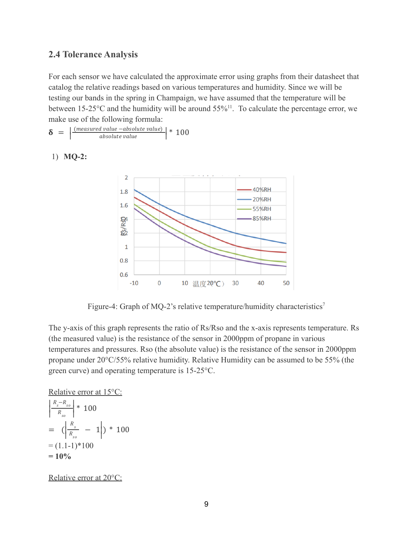#### <span id="page-9-0"></span>**2.4 Tolerance Analysis**

For each sensor we have calculated the approximate error using graphs from their datasheet that catalog the relative readings based on various temperatures and humidity. Since we will be testing our bands in the spring in Champaign, we have assumed that the temperature will be between 15-25 $\rm{^{\circ}C}$  and the humidity will be around 55%<sup>11</sup>. To calculate the percentage error, we make use of the following formula:

$$
\delta = \left| \frac{\text{(measured value} - absolute value)}{\text{absolute value}} \right| * 100
$$

1) **MQ-2:**



Figure-4: Graph of MQ-2's relative temperature/humidity characteristics<sup>7</sup>

The y-axis of this graph represents the ratio of Rs/Rso and the x-axis represents temperature. Rs (the measured value) is the resistance of the sensor in 2000ppm of propane in various temperatures and pressures. Rso (the absolute value) is the resistance of the sensor in 2000ppm propane under 20°C/55% relative humidity. Relative Humidity can be assumed to be 55% (the green curve) and operating temperature is 15-25°C.

Relative error at 15<sup>°</sup>C:

$$
\left|\frac{R_s - R_{so}}{R_{so}}\right| * 100
$$
  
=  $(\left|\frac{R_s}{R_{so}} - 1\right|) * 100$   
=  $(1.1-1)*100$   
= **10%**

Relative error at 20<sup>o</sup>C: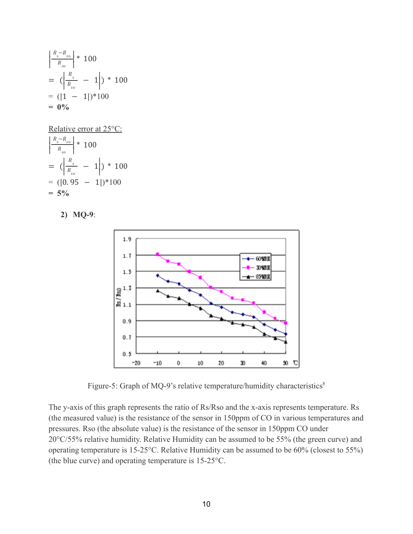$$
\left|\frac{R_s - R_{so}}{R_{so}}\right| * 100
$$
  
=  $(\left|\frac{R_s}{R_{so}} - 1\right|) * 100$   
=  $(|1 - 1|) * 100$   
= **0%**

Relative error at 25°C:

$$
\left|\frac{R_s - R_{so}}{R_{so}}\right| * 100
$$
  
=  $(\left|\frac{R_s}{R_{so}} - 1\right|) * 100$   
=  $(|0.95 - 1|) * 100$   
= 5%

**2) MQ-9**:



Figure-5: Graph of MQ-9's relative temperature/humidity characteristics<sup>8</sup>

The y-axis of this graph represents the ratio of Rs/Rso and the x-axis represents temperature. Rs (the measured value) is the resistance of the sensor in 150ppm of CO in various temperatures and pressures. Rso (the absolute value) is the resistance of the sensor in 150ppm CO under 20°C/55% relative humidity. Relative Humidity can be assumed to be 55% (the green curve) and operating temperature is 15-25°C. Relative Humidity can be assumed to be 60% (closest to 55%) (the blue curve) and operating temperature is 15-25°C.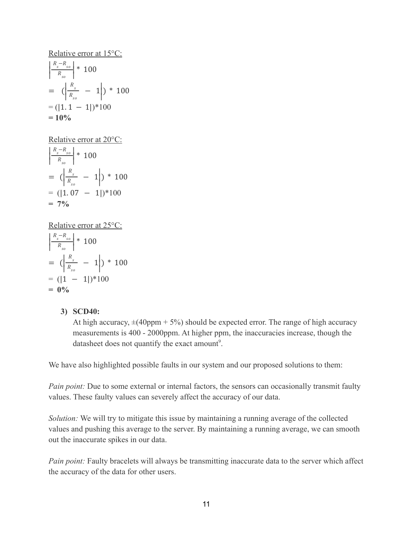Relative error at 15°C:

$$
\left|\frac{R_s - R_{so}}{R_{so}}\right| * 100
$$
  
=  $(\left|\frac{R_s}{R_{so}} - 1\right|) * 100$   
=  $(|1.1 - 1|) * 100$   
= 10%

Relative error at 20°C:

$$
\left|\frac{R_s - R_{so}}{R_{so}}\right| * 100
$$
  
=  $(\left|\frac{R_s}{R_{so}} - 1\right|) * 100$   
=  $(|1.07 - 1|) * 100$   
= 7%

Relative error at 25°C:

$$
\left|\frac{R_s - R_{so}}{R_{so}}\right| * 100
$$
  
=  $(\left|\frac{R_s}{R_{so}} - 1\right|) * 100$   
=  $(|1 - 1|) * 100$   
= **0%**

#### **3) SCD40:**

At high accuracy,  $\pm$ (40ppm + 5%) should be expected error. The range of high accuracy measurements is 400 - 2000ppm. At higher ppm, the inaccuracies increase, though the datasheet does not quantify the exact amount<sup>9</sup>.

We have also highlighted possible faults in our system and our proposed solutions to them:

*Pain point:* Due to some external or internal factors, the sensors can occasionally transmit faulty values. These faulty values can severely affect the accuracy of our data.

*Solution:* We will try to mitigate this issue by maintaining a running average of the collected values and pushing this average to the server. By maintaining a running average, we can smooth out the inaccurate spikes in our data.

*Pain point:* Faulty bracelets will always be transmitting inaccurate data to the server which affect the accuracy of the data for other users.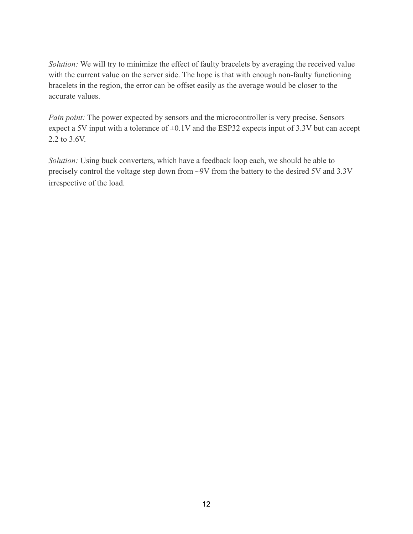*Solution:* We will try to minimize the effect of faulty bracelets by averaging the received value with the current value on the server side. The hope is that with enough non-faulty functioning bracelets in the region, the error can be offset easily as the average would be closer to the accurate values.

*Pain point:* The power expected by sensors and the microcontroller is very precise. Sensors expect a 5V input with a tolerance of  $\pm 0.1V$  and the ESP32 expects input of 3.3V but can accept 2.2 to 3.6V.

*Solution:* Using buck converters, which have a feedback loop each, we should be able to precisely control the voltage step down from ~9V from the battery to the desired 5V and 3.3V irrespective of the load.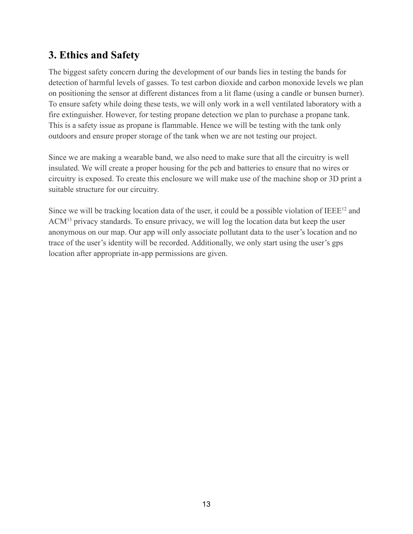## <span id="page-13-0"></span>**3. Ethics and Safety**

The biggest safety concern during the development of our bands lies in testing the bands for detection of harmful levels of gasses. To test carbon dioxide and carbon monoxide levels we plan on positioning the sensor at different distances from a lit flame (using a candle or bunsen burner). To ensure safety while doing these tests, we will only work in a well ventilated laboratory with a fire extinguisher. However, for testing propane detection we plan to purchase a propane tank. This is a safety issue as propane is flammable. Hence we will be testing with the tank only outdoors and ensure proper storage of the tank when we are not testing our project.

Since we are making a wearable band, we also need to make sure that all the circuitry is well insulated. We will create a proper housing for the pcb and batteries to ensure that no wires or circuitry is exposed. To create this enclosure we will make use of the machine shop or 3D print a suitable structure for our circuitry.

Since we will be tracking location data of the user, it could be a possible violation of  $IEEE^{12}$  and ACM<sup>13</sup> privacy standards. To ensure privacy, we will log the location data but keep the user anonymous on our map. Our app will only associate pollutant data to the user's location and no trace of the user's identity will be recorded. Additionally, we only start using the user's gps location after appropriate in-app permissions are given.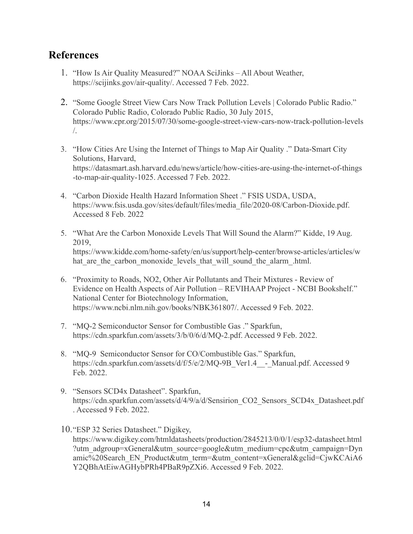## <span id="page-14-0"></span>**References**

- 1. "How Is Air Quality Measured?" NOAA SciJinks All About Weather, https://scijinks.gov/air-quality/. Accessed 7 Feb. 2022.
- 2. "Some Google Street View Cars Now Track Pollution Levels | Colorado Public Radio." Colorado Public Radio, Colorado Public Radio, 30 July 2015, https://www.cpr.org/2015/07/30/some-google-street-view-cars-now-track-pollution-levels /.
- 3. "How Cities Are Using the Internet of Things to Map Air Quality ." Data-Smart City Solutions, Harvard, https://datasmart.ash.harvard.edu/news/article/how-cities-are-using-the-internet-of-things -to-map-air-quality-1025. Accessed 7 Feb. 2022.
- 4. "Carbon Dioxide Health Hazard Information Sheet ." FSIS USDA, USDA, https://www.fsis.usda.gov/sites/default/files/media\_file/2020-08/Carbon-Dioxide.pdf. Accessed 8 Feb. 2022
- 5. "What Are the Carbon Monoxide Levels That Will Sound the Alarm?" Kidde, 19 Aug. 2019, https://www.kidde.com/home-safety/en/us/support/help-center/browse-articles/articles/w hat are the carbon monoxide levels that will sound the alarm .html.
- 6. "Proximity to Roads, NO2, Other Air Pollutants and Their Mixtures Review of Evidence on Health Aspects of Air Pollution – REVIHAAP Project - NCBI Bookshelf." National Center for Biotechnology Information, https://www.ncbi.nlm.nih.gov/books/NBK361807/. Accessed 9 Feb. 2022.
- 7. "MQ-2 Semiconductor Sensor for Combustible Gas ." Sparkfun, https://cdn.sparkfun.com/assets/3/b/0/6/d/MQ-2.pdf. Accessed 9 Feb. 2022.
- 8. "MQ-9 Semiconductor Sensor for CO/Combustible Gas." Sparkfun, https://cdn.sparkfun.com/assets/d/f/5/e/2/MQ-9B\_Ver1.4\_ - Manual.pdf. Accessed 9 Feb. 2022.
- 9. "Sensors SCD4x Datasheet". Sparkfun, https://cdn.sparkfun.com/assets/d/4/9/a/d/Sensirion\_CO2\_Sensors\_SCD4x\_Datasheet.pdf . Accessed 9 Feb. 2022.

10."ESP 32 Series Datasheet." Digikey, https://www.digikey.com/htmldatasheets/production/2845213/0/0/1/esp32-datasheet.html ?utm\_adgroup=xGeneral&utm\_source=google&utm\_medium=cpc&utm\_campaign=Dyn amic%20Search\_EN\_Product&utm\_term=&utm\_content=xGeneral&gclid=CjwKCAiA6 Y2QBhAtEiwAGHybPRh4PBaR9pZXi6. Accessed 9 Feb. 2022.